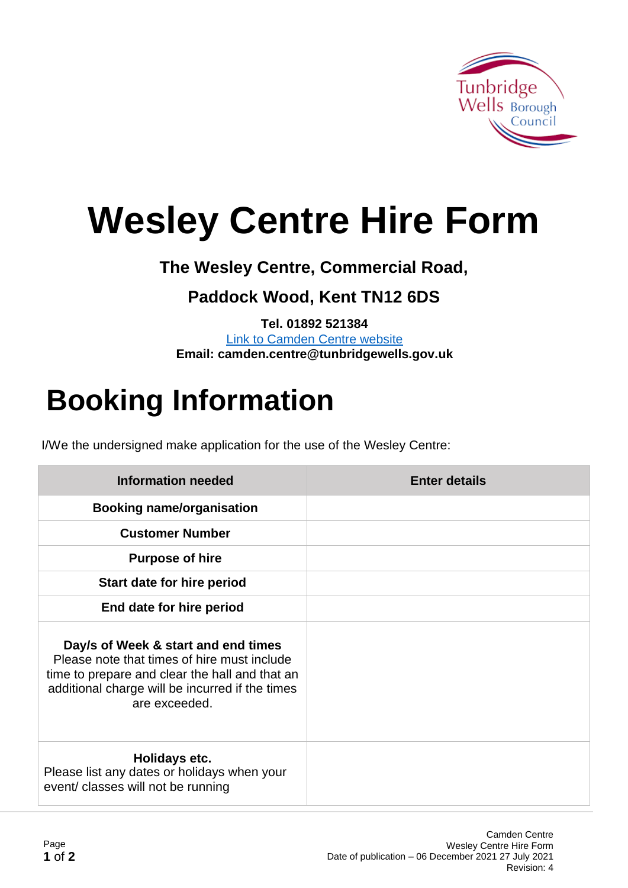

# **Wesley Centre Hire Form**

**The Wesley Centre, Commercial Road,** 

### **Paddock Wood, Kent TN12 6DS**

**Tel. 01892 521384** [Link to Camden Centre website](https://www.tunbridgewells.gov.uk/community-and-leisure/community-centres/camden-centre) **Email: camden.centre@tunbridgewells.gov.uk**

## **Booking Information**

I/We the undersigned make application for the use of the Wesley Centre:

| <b>Information needed</b>                                                                                                                                                                                | <b>Enter details</b> |
|----------------------------------------------------------------------------------------------------------------------------------------------------------------------------------------------------------|----------------------|
| <b>Booking name/organisation</b>                                                                                                                                                                         |                      |
| <b>Customer Number</b>                                                                                                                                                                                   |                      |
| <b>Purpose of hire</b>                                                                                                                                                                                   |                      |
| Start date for hire period                                                                                                                                                                               |                      |
| End date for hire period                                                                                                                                                                                 |                      |
| Day/s of Week & start and end times<br>Please note that times of hire must include<br>time to prepare and clear the hall and that an<br>additional charge will be incurred if the times<br>are exceeded. |                      |
| Holidays etc.<br>Please list any dates or holidays when your<br>event/ classes will not be running                                                                                                       |                      |